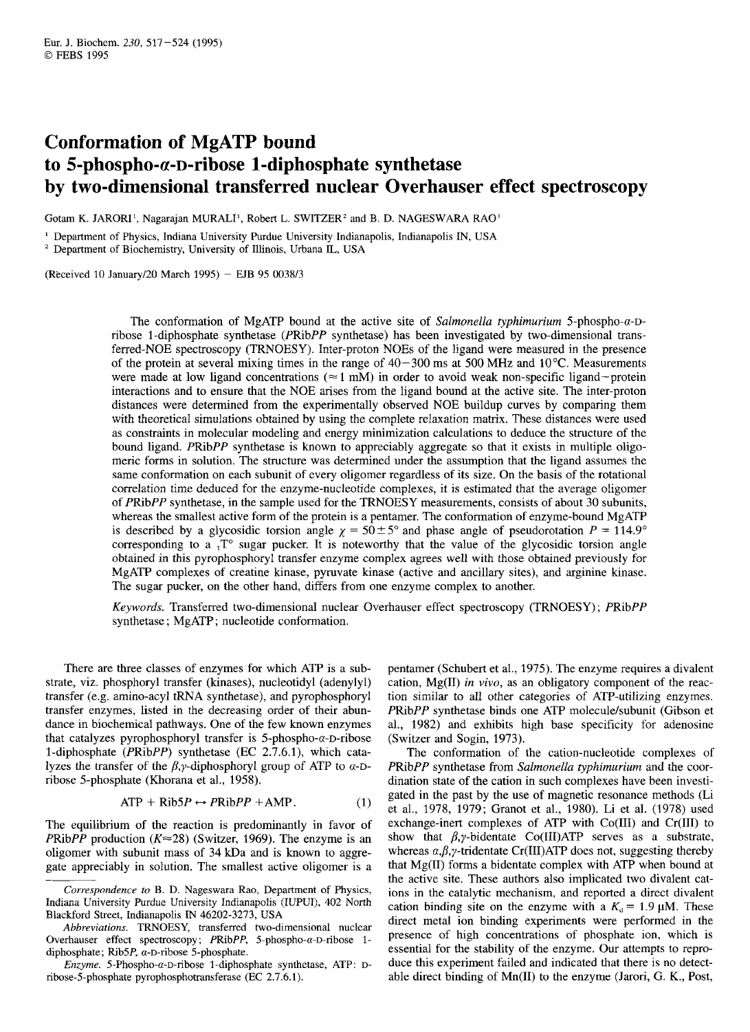# **Conformation of MgATP bound**  to 5-phospho-α-D-ribose 1-diphosphate synthetase **by two-dimensional transferred nuclear Overhauser effect spectroscopy**

Gotam K. JARORI', Nagarajan MURALI', Robert L. SWITZER' **and** B. **D.** NAGESWARA RAO'

' Department of Physics, Indiana University Purdue University Indianapolis, Indianapolis IN, USA

' Department of Biochemistry, University of Illinois, Urbana **JL,** USA

(Received 10 January/20 March 1995) - EJB 95 0038/3

The conformation of MgATP bound at the active site of *Salmonella typhimurium* 5-phospho- $\alpha$ -Dribose 1 -diphosphate synthetase (PRibPP synthetase) has been investigated by two-dimensional transferred-NOE spectroscopy (TRNOESY). Inter-proton NOES of the ligand were measured in the presence of the protein at several mixing times in the range of  $40-300$  ms at 500 MHz and  $10^{\circ}$ C. Measurements were made at low ligand concentrations ( $\approx 1$  mM) in order to avoid weak non-specific ligand-protein interactions and to ensure that the NOE arises from the ligand bound at the active site. The inter-proton distances were determined from the experimentally observed NOE buildup curves by comparing them with theoretical simulations obtained by using the complete relaxation matrix. These distances were used as constraints in molecular modeling and energy minimization calculations to deduce the structure of the bound ligand. PRibPP synthetase is known to appreciably aggregate so that it exists in multiple oligomeric forms in solution. The structure was determined under the assumption that the ligand assumes the same conformation on each subunit of every oligomer regardless of its size. On the basis of the rotational correlation time deduced for the enzyme-nucleotide complexes, it is estimated that the average oligomer of PRibPP synthetase, in the sample used for the TRNOESY measurements, consists of about 30 subunits, whereas the smallest active form of the protein is a pentamer. The conformation of enzyme-bound MgATP is described by a glycosidic torsion angle  $\chi = 50 \pm 5^{\circ}$  and phase angle of pseudorotation  $P = 114.9^{\circ}$ corresponding to a  ${}_{1}T^{\circ}$  sugar pucker. It is noteworthy that the value of the glycosidic torsion angle obtained in this pyrophosphoryl transfer enzyme complex agrees well with those obtained previously for MgATP complexes of creatine kinase, pyruvate kinase (active and ancillary sites), and arginine kinase. The sugar pucker, on the other hand, differs from one enzyme complex to another.

*Keywords.* Transferred two-dimensional nuclear Overhauser effect spectroscopy (TRNOESY) ; PRibPP synthetase ; MgATP; nucleotide conformation.

There are three classes of enzymes for which ATP is a substrate, viz. phosphoryl transfer (kinases), nucleotidyl (adenylyl) transfer (e.g. amino-acyl tRNA synthetase), and pyrophosphoryl transfer enzymes, listed in the decreasing order of their abundance in biochemical pathways. One of the few known enzymes that catalyzes pyrophosphoryl transfer is  $5$ -phospho- $\alpha$ -D-ribose 1-diphosphate (PRibPP) synthetase (EC 2.7.6.1), which catalyzes the transfer of the  $\beta$ , *y*-diphosphoryl group of ATP to  $\alpha$ -Dribose 5-phosphate (Khorana et al., 1958).

$$
ATP + Rib5P \leftrightarrow PRibPP + AMP.
$$
 (1)

The equilibrium of the reaction is predominantly in favor of PRibPP production  $(K \approx 28)$  (Switzer, 1969). The enzyme is an oligomer with subunit mass of 34 kDa and is known to aggregate appreciably in solution. The smallest active oligomer is a

*Enzyme.* 5-Phospho-α-D-ribose 1-diphosphate synthetase, ATP: Dribose-5-phosphate pyrophosphotransferase (EC 2.7.6.1).

pentamer (Schubert et al., 1975). The enzyme requires a divalent cation, Mg(I1) *in vivo,* as an obligatory component of the reaction similar to all other categories of ATP-utilizing enzymes. PRibPP synthetase binds one ATP molecule/subunit (Gibson et al., 1982) and exhibits high base specificity for adenosine (Switzer and Sogin, 1973).

The conformation of the cation-nucleotide complexes of PRibPP synthetase from *Salmonella typhimurium* and the coordination state of the cation in such complexes have been investigated in the past by the use of magnetic resonance methods (Li et al., 1978, 1979; Granot et al., 1980). Li et al. (1978) used exchange-inert complexes of ATP with Co(II1) and Cr(II1) to show that  $\beta$ , *y*-bidentate Co(III)ATP serves as a substrate, whereas  $\alpha, \beta, \gamma$ -tridentate Cr(III)ATP does not, suggesting thereby that Mg(I1) forms a bidentate complex with ATP when bound at the active site. These authors also implicated two divalent cations in the catalytic mechanism, and reported a direct divalent cation binding site on the enzyme with a  $K_d = 1.9 \mu M$ . These direct metal ion binding experiments were performed in the presence of high concentrations of phosphate ion, which is essential for the stability of the enzyme. Our attempts to reproduce this experiment failed and indicated that there is no detectable direct binding of Mn(I1) to the enzyme (Jarori, G. **K.,** Post,

*Correspondence to* B. D. Nageswara Rao, Department of Physics, Indiana University Purdue University Indianapolis (IUPUI), 402 North Blackford Street, Indianapolis **IN** 46202-3273, USA

*Abbreviations.* TRNOESY, transferred two-dimensional nuclear Overhauser effect spectroscopy;  $PRibPP$ , 5-phospho- $\alpha$ -D-ribose 1diphosphate; Rib $5P$ ,  $\alpha$ -D-ribose 5-phosphate.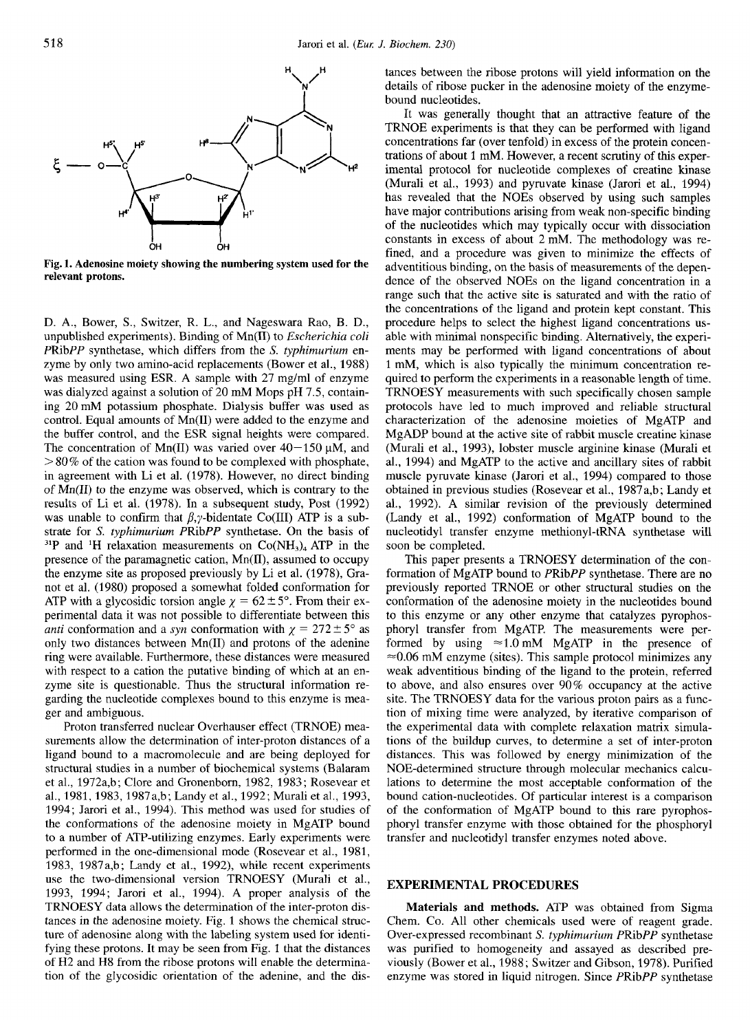

**Fig. 1. Adenosine moiety showing the numbering system used for the relevant protons.** 

D. A., Bower, S., Switzer, R. L., and Nageswara Rao, B. D., unpublished experiments). Binding of Mn(I1) to *Escherichia coli*  PRibPP synthetase, which differs from the S. *typhimurium* enzyme by only two amino-acid replacements (Bower et al., 1988) was measured using ESR. A sample with 27 mg/ml of enzyme was dialyzed against a solution of 20 mM Mops pH 7.5, containing 20mM potassium phosphate. Dialysis buffer was used as control. Equal amounts of Mn(I1) were added to the enzyme and the buffer control, and the ESR signal heights were compared. The concentration of Mn(II) was varied over  $40-150 \mu M$ , and  $> 80\%$  of the cation was found to be complexed with phosphate, in agreement with Li et al. (1978). However, no direct binding of Mn(I1) to the enzyme was observed, which is contrary to the results of Li et al. (1978). In a subsequent study, Post (1992) was unable to confirm that  $\beta$ , y-bidentate Co(III) ATP is a substrate for *S. typhimurium* PRibPP synthetase. On the basis of <sup>31</sup>P and <sup>1</sup>H relaxation measurements on  $Co(NH<sub>3</sub>)<sub>4</sub>$  ATP in the presence of the paramagnetic cation, Mn(II), assumed to occupy the enzyme site as proposed previously by Li et al. (1978), Granot et al. (1980) proposed a somewhat folded conformation for ATP with a glycosidic torsion angle  $\chi = 62 \pm 5^{\circ}$ . From their experimental data it was not possible to differentiate between this *anti* conformation and a *syn* conformation with  $\chi = 272 \pm 5^{\circ}$  as only two distances between Mn(I1) and protons of the adenine ring were available. Furthermore, these distances were measured with respect to a cation the putative binding of which at an enzyme site is questionable. Thus the structural information regarding the nucleotide complexes bound to this enzyme is meager and ambiguous.

Proton transferred nuclear Overhauser effect (TRNOE) measurements allow the determination of inter-proton distances of a ligand bound to a macromolecule and are being deployed for structural studies in a number of biochemical systems (Balaram et al., 1972a,b; Clore and Gronenborn, 1982, 1983; Rosevear et al., 1981, 1983, 1987a,b; Landy et al., 1992; Murali et al., 1993, 1994; Jarori et al., 1994). This method was used for studies of the conformations of the adenosine moiety in MgATP bound to a number of ATP-utilizing enzymes. Early experiments were performed in the one-dimensional mode (Rosevear et al., 1981, 1983, 1987a,b; Landy et al., 1992), while recent experiments use the two-dimensional version TRNOESY (Murali et al., 1993, 1994; Jarori et al., 1994). A proper analysis of the TRNOESY data allows the determination of the inter-proton distances in the adenosine moiety. Fig. 1 shows the chemical structure of adenosine along with the labeling system used for identifying these protons. It may be seen from Fig. 1 that the distances of H2 and H8 from the ribose protons will enable the determination of the glycosidic orientation of the adenine, and the distances between the ribose protons will yield information on the details of ribose pucker in the adenosine moiety of the enzymebound nucleotides.

It was generally thought that an attractive feature of the TRNOE experiments is that they can be performed with ligand concentrations far (over tenfold) in excess of the protein concentrations of about 1 mM. However, a recent scrutiny of this experimental protocol for nucleotide complexes of creatine kinase (Murali et al., 1993) and pyruvate kinase (Jarori et al., 1994) has revealed that the NOEs observed by using such samples have major contributions arising from weak non-specific binding of the nucleotides which may typically occur with dissociation constants in excess of about 2 mM. The methodology was refined, and a procedure was given to minimize the effects of adventitious binding, on the basis of measurements of the dependence of the observed NOEs on the ligand concentration in a range such that the active site is saturated and with the ratio of the concentrations of the ligand and protein kept constant. This procedure helps to select the highest ligand concentrations usable with minimal nonspecific binding. Alternatively, the experiments may be performed with ligand concentrations of about 1 mM, which is also typically the minimum concentration required to perform the experiments in a reasonable length of time. TRNOESY measurements with such specifically chosen sample protocols have led to much improved and reliable structural characterization of the adenosine moieties of MgATP and MgADP bound at the active site of rabbit muscle creatine kinase (Murali et al., 1993), lobster muscle arginine kinase (Murali et al., 1994) and MgATP to the active and ancillary sites of rabbit muscle pyruvate kinase (Jarori et al., 1994) compared to those obtained in previous studies (Rosevear et al., 1987a,b; Landy et al., 1992). A similar revision of the previously determined (Landy et al., 1992) conformation of MgATP bound to the nucleotidyl transfer enzyme methionyl-tRNA synthetase will soon be completed.

This paper presents a TRNOESY determination of the conformation of MgATP bound to PRibPP synthetase. There are no previously reported TRNOE or other structural studies on the conformation of the adenosine moiety in the nucleotides bound to this enzyme or any other enzyme that catalyzes pyrophosphoryl transfer from MgATP. The measurements were performed by using  $\approx 1.0$  mM MgATP in the presence of  $\approx 0.06$  mM enzyme (sites). This sample protocol minimizes any weak adventitious binding of the ligand to the protein, referred to above, and also ensures over 90% occupancy at the active site. The TRNOESY data for the various proton pairs as a function of mixing time were analyzed, by iterative comparison of the experimental data with complete relaxation matrix simulations of the buildup curves, to determine a set of inter-proton distances. This was followed by energy minimization of the NOE-determined structure through molecular mechanics calculations to determine the most acceptable conformation of the bound cation-nucleotides. Of particular interest is a comparison of the conformation of MgATP bound to this rare pyrophosphoryl transfer enzyme with those obtained for the phosphoryl transfer and nucleotidyl transfer enzymes noted above.

### **EXPERIMENTAL PROCEDURES**

**Materials and methods.** ATP was obtained from Sigma Chem. Co. All other chemicals used were of reagent grade. Over-expressed recombinant *S. typhimurium* PRibPP synthetase was purified to homogeneity and assayed as described previously (Bower et al., 1988; Switzer and Gibson, 1978). Purified enzyme was stored in liquid nitrogen. Since PRibPP synthetase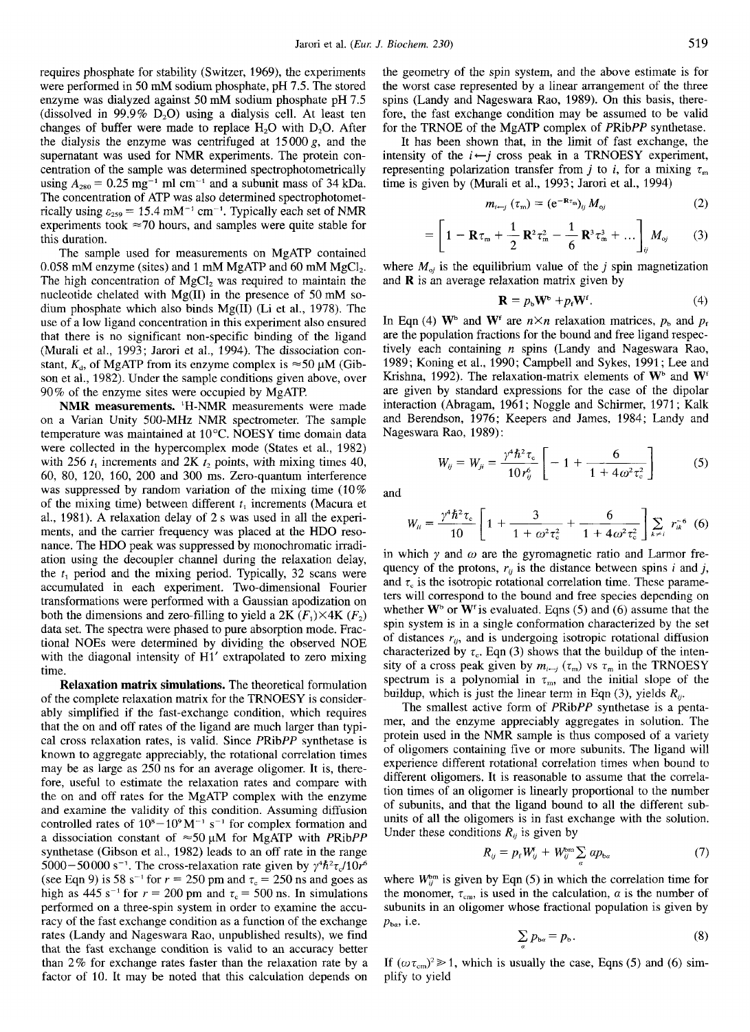requires phosphate for stability (Switzer, 1969), the experiments were performed in 50 mM sodium phosphate, pH 7.5. The stored enzyme was dialyzed against 50 mM sodium phosphate pH 7.5 (dissolved in 99.9%  $D_2O$ ) using a dialysis cell. At least ten changes of buffer were made to replace  $H_2O$  with  $D_2O$ . After the dialysis the enzyme was centrifuged at  $15000 g$ , and the supernatant was used for NMR experiments. The protein concentration of the sample was determined spectrophotometrically using  $A_{280}$  = 0.25 mg<sup>-1</sup> ml cm<sup>-1</sup> and a subunit mass of 34 kDa. The concentration of ATP was also determined spectrophotometrically using  $\varepsilon_{259}$  = 15.4 mM<sup>-1</sup> cm<sup>-1</sup>. Typically each set of NMR experiments took  $\approx$ 70 hours, and samples were quite stable for this duration.

The sample used for measurements on MgATP contained 0.058 mM enzyme (sites) and 1 mM MgATP and 60 mM  $MgCl<sub>2</sub>$ . The high concentration of  $MgCl<sub>2</sub>$  was required to maintain the nucleotide chelated with  $Mg(II)$  in the presence of 50 mM sodium phosphate which also binds Mg(I1) (Li et al., 1978). The use of a low ligand concentration in this experiment also ensured that there is no significant non-specific binding of the ligand (Murali et al., 1993; Jarori et al., 1994). The dissociation constant,  $K_d$ , of MgATP from its enzyme complex is  $\approx$ 50  $\mu$ M (Gibson et al., 1982). Under the sample conditions given above, over 90% of the enzyme sites were occupied by MgATP.

**NMR measurements.** 'H-NMR measurements were made on a Varian Unity 500-MHz NMR spectrometer. The sample temperature was maintained at 10°C. NOESY time domain data were collected in the hypercomplex mode (States et al., 1982) with 256  $t_1$  increments and 2K  $t_2$  points, with mixing times 40, 60, 80, 120, 160, 200 and 300 ms. Zero-quantum interference was suppressed by random variation of the mixing time (10% of the mixing time) between different  $t_1$  increments (Macura et al., 1981). A relaxation delay of 2 **s** was used in all the experiments, and the carrier frequency was placed at the HDO resonance. The HDO peak was suppressed by monochromatic irradiation using the decoupler channel during the relaxation delay, the  $t_1$  period and the mixing period. Typically, 32 scans were accumulated in each experiment. Two-dimensional Fourier transformations were performed with a Gaussian apodization on both the dimensions and zero-filling to yield a 2K  $(F_1) \times 4K$   $(F_2)$ data set. The spectra were phased to pure absorption mode. Fractional NOES were determined by dividing the observed NOE with the diagonal intensity of H<sub>1</sub>' extrapolated to zero mixing time.

**Relaxation matrix simulations.** The theoretical formulation of the complete relaxation matrix for the TRNOESY is considerably simplified if the fast-exchange condition, which requires that the on and off rates of the ligand are much larger than typical cross relaxation rates, is valid. Since PRibPP synthetase is known to aggregate appreciably, the rotational correlation times may be as large as 250 ns for an average oligomer. It **is,** therefore, useful to estimate the relaxation rates and compare with the on and off rates for the MgATP complex with the enzyme and examine the validity of this condition. Assuming diffusion controlled rates of  $10^8 - 10^9 M^{-1}$  s<sup>-1</sup> for complex formation and a dissociation constant of  $\approx 50 \mu M$  for MgATP with PRibPP synthetase (Gibson et al., 1982) leads to an off rate in the range 5000-50 000 s<sup>-1</sup>. The cross-relaxation rate given by  $\gamma^4 \hbar^2 \tau_c / 10 r^6$ (see Eqn 9) is 58 s<sup>-1</sup> for  $r = 250$  pm and  $\tau_c = 250$  ns and goes as high as  $445 s^{-1}$  for  $r = 200$  pm and  $\tau_c = 500$  ns. In simulations performed on a three-spin system in order to examine the accuracy of the fast exchange condition as a function of the exchange rates (Landy and Nageswara Rao, unpublished results), we find that the fast exchange condition is valid to an accuracy better than 2% for exchange rates faster than the relaxation rate by a factor of 10. It may be noted that this calculation depends on

the geometry of the spin system, and the above estimate **is** for the worst case represented by a linear arrangement of the three spins (Landy and Nageswara Rao, 1989). On this basis, therefore, the fast exchange condition may be assumed to be valid for the TRNOE of the MgATP complex of PRibPP synthetase.

It has been shown that, in the limit of fast exchange, the intensity of the  $i \leftarrow j$  cross peak in a TRNOESY experiment, representing polarization transfer from *j* to *i*, for a mixing  $\tau_m$ time is given by (Murali et al., 1993; Jarori et al., 1994)

$$
m_{i \leftarrow j} \left( \tau_{\rm m} \right) = \left( e^{-\mathbf{R} \tau_{\rm m}} \right)_{ij} M_{\rm ej} \tag{2}
$$

$$
= \left[1 - \mathbf{R}\tau_{m} + \frac{1}{2}\,\mathbf{R}^{2}\tau_{m}^{2} - \frac{1}{6}\,\mathbf{R}^{3}\tau_{m}^{3} + \dots\right]_{ij}M_{oj} \qquad (3)
$$

where  $M_{oj}$  is the equilibrium value of the  $j$  spin magnetization and **R** is an average relaxation matrix given by

$$
\mathbf{R} = p_{\rm b} \mathbf{W}^{\rm b} + p_{\rm f} \mathbf{W}^{\rm f}.\tag{4}
$$

In Eqn (4)  $W^b$  and  $W^f$  are  $n \times n$  relaxation matrices,  $p_b$  and  $p_f$ are the population fractions for the bound and free ligand respectively each containing  $n$  spins (Landy and Nageswara Rao, 1989; Koning et al., 1990; Campbell and Sykes, 1991; Lee and Krishna, 1992). The relaxation-matrix elements of  $W^b$  and  $W^f$ are given by standard expressions for the case of the dipolar interaction (Abragam, 1961; Noggle and Schirmer, 1971; Kalk and Berendson, 1976; Keepers and James, 1984; Landy and Nageswara Rao, 1989):

$$
W_{ij} = W_{ji} = \frac{\gamma^4 \hbar^2 \tau_c}{10 r_{ij}^6} \left[ -1 + \frac{6}{1 + 4 \omega^2 \tau_c^2} \right]
$$
 (5)

and

$$
W_{ii} = \frac{\gamma^4 \hbar^2 \tau_c}{10} \left[ 1 + \frac{3}{1 + \omega^2 \tau_c^2} + \frac{6}{1 + 4\omega^2 \tau_c^2} \right] \sum_{k \neq i} r_{ik}^{-6} \tag{6}
$$

in which  $\gamma$  and  $\omega$  are the gyromagnetic ratio and Larmor frequency of the protons,  $r_{ii}$  is the distance between spins *i* and *j*, and  $\tau_c$  is the isotropic rotational correlation time. These parameters will correspond to the bound and free species depending on whether  $W^b$  or  $W^f$  is evaluated. Eqns (5) and (6) assume that the spin system is in a single conformation characterized by the set of distances  $r_{ij}$ , and is undergoing isotropic rotational diffusion characterized by  $\tau_c$ . Eqn (3) shows that the buildup of the intensity of a cross peak given by  $m_{i-j}$  ( $\tau_m$ ) vs  $\tau_m$  in the TRNOESY spectrum is a polynomial in  $\tau_m$ , and the initial slope of the buildup, which is just the linear term in Eqn (3), yields  $R_{ij}$ .

The smallest active form of PRibPP synthetase is a pentamer, and the enzyme appreciably aggregates in solution. The protein used in the NMR sample is thus composed of a variety of oligomers containing five or more subunits. The ligand will experience different rotational correlation times when bound to different oligomers. It is reasonable to assume that the correlation times of an oligomer is linearly proportional to the number of subunits, and that the ligand bound to all the different subunits of all the oligomers is in fast exchange with the solution. Under these conditions  $R_{ij}$  is given by

$$
R_{ij} = p_{\rm f} W_{ij}^{\rm f} + W_{ij}^{\rm bm} \sum_{\alpha} \alpha p_{\rm b\alpha} \tag{7}
$$

where  $W_{ij}^{\text{bm}}$  is given by Eqn (5) in which the correlation time for the monomer,  $\tau_{cm}$ , is used in the calculation,  $\alpha$  is the number of subunits in an oligomer whose fractional population is given by  $p_{ba}$ , i.e.

$$
\sum p_{ba} = p_b. \tag{8}
$$

If  $({\omega \tau_{cm}})^2 \gg 1$ , which is usually the case, Eqns (5) and (6) simplify to yield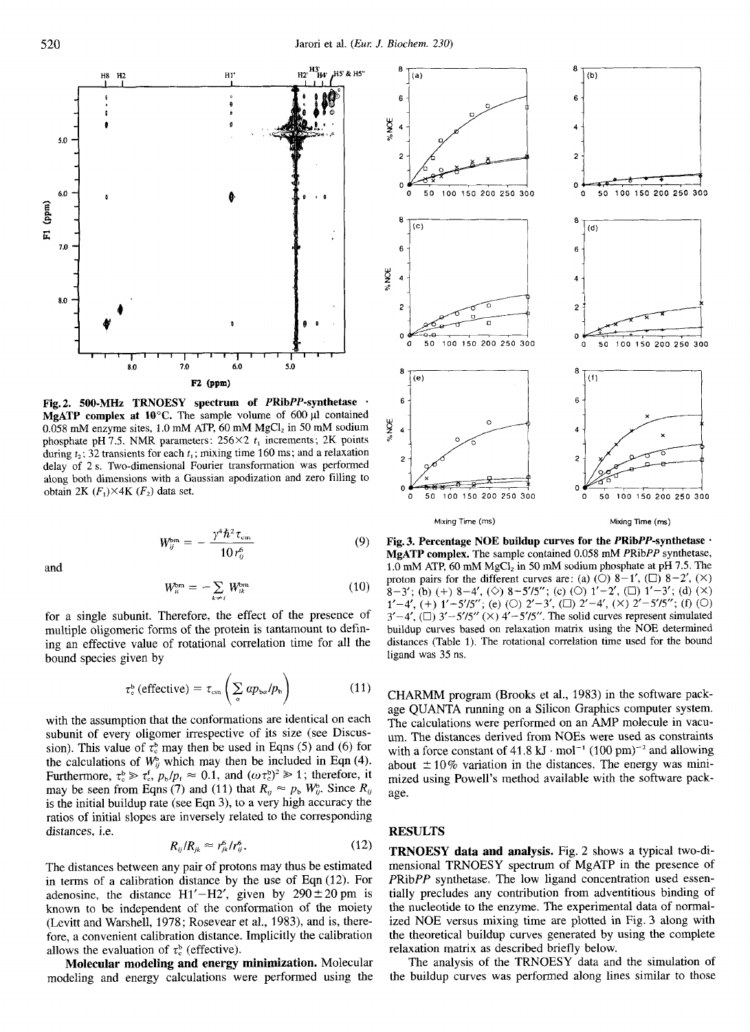

**Fig. 2. 500-MHz TRNOESY spectrum of PRibPP-synthetase** \* **MgATP** complex at  $10^{\circ}$ C. The sample volume of 600  $\mu$ 1 contained 0.058 mM enzyme sites, 1.0 mM ATP, 60 mM  $MgCl<sub>2</sub>$  in 50 mM sodium phosphate **pH** 7.5. NMR parameters:  $256 \times 2$   $t_1$  increments; 2K points during  $t_2$ ; 32 transients for each  $t_1$ ; mixing time 160 ms; and a relaxation delay of 2 **s.** Two-dimensional Fourier transformation was performed along both dimensions with a Gaussian apodization and zero filling to obtain 2K  $(F_1) \times 4K$   $(F_2)$  data set.

$$
W_{ij}^{\text{bm}} = -\frac{\gamma^4 \hbar^2 \tau_{\text{cm}}}{10 r_n^6} \tag{9}
$$

and

$$
W_{ii}^{\text{bm}} = -\sum_{k \neq i} W_{ik}^{\text{bm}} \tag{10}
$$

for a single subunit. Therefore, the effect of the presence of multiple oligomeric forms of the protein is tantamount to defining an effective value of rotational correlation time for all the bound species given by

$$
\tau_{\rm e}^{\rm b} \left( \text{effective} \right) = \tau_{\rm cm} \left( \sum_{\alpha} \, a p_{\rm b \alpha} / p_{\rm b} \right) \tag{11}
$$

with the assumption that the conformations are identical on each subunit of every oligomer irrespective of its size (see Discussion). This value of  $\tau_c^b$  may then be used in Eqns (5) and (6) for the calculations of  $W_{ii}^b$  which may then be included in Eqn (4). Furthermore,  $\tau_c^b \ge \tau_c^f$ ,  $p_b/p_f \approx 0.1$ , and  $(\omega \tau_c^b)^2 \ge 1$ ; therefore, it may be seen from Eqns (7) and (11) that  $R_{ij} \approx p_b W_{ij}^b$ . Since  $R_{ij}$ is the initial buildup rate (see Eqn 3), to a very high accuracy the ratios of initial slopes are inversely related to the corresponding distances, i.e.

$$
R_{ij}/R_{jk} \approx r_{jk}^6/r_{ij}^6. \tag{12}
$$

The distances between any pair of protons may thus be estimated in terms of a calibration distance by the use of Eqn (12). For adenosine, the distance  $H1' - H2'$ , given by  $290 \pm 20$  pm is known to be independent of the conformation of the moiety (Levitt and Warshell, 1978; Rosevear et al., 1983), and is, therefore, a convenient calibration distance. Implicitly the calibration allows the evaluation of  $\tau_c^b$  (effective).

**Molecular modeling and energy minimization.** Molecular modeling and energy calculations were performed using the



**Fig. 3. Percentage NOE buildup curves for the PRibPP-synthetase** - **MgATP complex.** The sample contained 0.058 mM PRibPP synthetase, 1 .O mM ATP, 60 mM MgC1, in SO mM sodium phosphate at pH 7.5. The proton pairs for the different curves are: (a)  $(\overline{O})$  8-1',  $(\overline{O})$  8-2',  $(\times)$ 1'-4', (+) *1'-5'15'';* (e) (0) *2'-3', (0)* 2'-4', (X) *2'-5'/5";* **(f)** *(0)*   $3' - 4'$ ,  $(\square)$   $3' - 5' / 5''$   $(\times)$   $4' - 5' / 5''$ . The solid curves represent simulated buildup curves based on relaxation matrix using the NOE determined distances (Table 1). The rotational correlation time used for the bound ligand was 35 ns.  $8-3'$ ; (b) (+)  $8-4'$ , ( $\Diamond$ )  $8-5'$ /5"; (c) (O)  $1'-2'$ , (L)  $1'-3'$ ; (d) (X)  $8-5'$ ; (d) (X)

CHARMM program (Brooks et al., 1983) in the software package QUANTA running on a Silicon Graphics computer system. The calculations were performed on an AMP molecule in vacuum. The distances derived from NOES were used as constraints with a force constant of  $41.8 \text{ kJ} \cdot \text{mol}^{-1} (100 \text{ pm})^{-2}$  and allowing about  $\pm 10\%$  variation in the distances. The energy was minimized using Powell's method available with the software package.

## **RESULTS**

**TRNOESY data and analysis.** Fig. 2 shows a typical two-dimensional TRNOESY spectrum of MgATP in the presence of PRibPP synthetase. The low ligand concentration used essentially precludes any contribution from adventitious binding of the nucleotide to the enzyme. The experimental data of normalized NOE versus mixing time are plotted in Fig. *3* along with the theoretical buildup curves generated by using the complete relaxation matrix as described briefly below.

The analysis of the TRNOESY data and the simulation of the buildup curves was performed along lines similar to those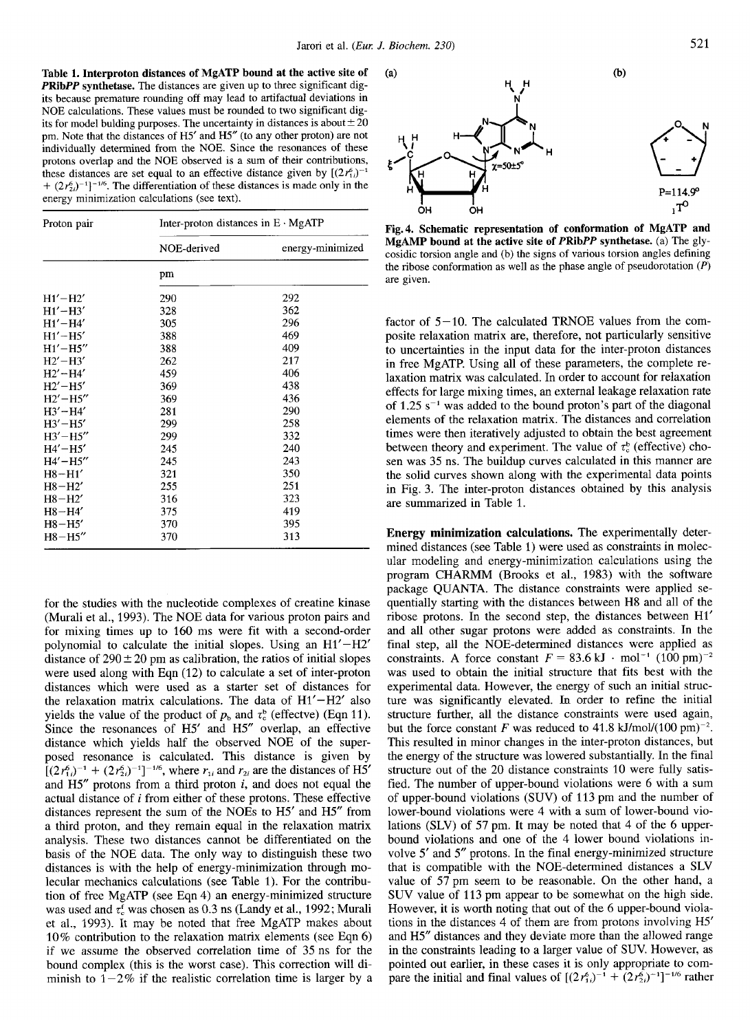**Table 1. Interproton distances of MgATP bound at the active site of PRibPP synthetase.** The distances are given up to three significant digits because premature rounding off may lead to artifactual deviations in NOE calculations. These values must be rounded to two significant digits for model bulding purposes. The uncertainty in distances is about  $\pm 20$ pm. Note that the distances of H5' and H5" (to any other proton) are not individually determined from the NOE. Since the resonances of these protons overlap and the NOE observed is a sum **of** their contributions, these distances are set equal to an effective distance given by  $[(2r_{1i}^6)^{-1}]$  $+(2r_{2i}^6)^{-1}$ <sup>-1/6</sup>. The differentiation of these distances is made only in the energy minimization calculations (see text).

| Proton pair    | Inter-proton distances in $E \cdot MgATP$ |                  |  |
|----------------|-------------------------------------------|------------------|--|
|                | NOE-derived                               | energy-minimized |  |
|                | pm                                        |                  |  |
| $H1' - H2'$    | 290                                       | 292              |  |
| $H1' - H3'$    | 328                                       | 362              |  |
| $H1' - H4'$    | 305                                       | 296              |  |
| $H1' - H5'$    | 388                                       | 469              |  |
| $H1' - H5''$   | 388                                       | 409              |  |
| $H2' - H3'$    | 262                                       | 217              |  |
| $H2' - H4'$    | 459                                       | 406              |  |
| $H2' - H5'$    | 369                                       | 438              |  |
| $H2' - H5''$   | 369                                       | 436              |  |
| $H3' - H4'$    | 281                                       | 290              |  |
| $H3' - H5'$    | 299                                       | 258              |  |
| $H3'$ – $H5''$ | 299                                       | 332              |  |
| $H4' - H5'$    | 245                                       | 240              |  |
| $H4' - H5''$   | 245                                       | 243              |  |
| $H8 - H1'$     | 321                                       | 350              |  |
| $H8-H2'$       | 255                                       | 251              |  |
| $H8-H2'$       | 316                                       | 323              |  |
| $H8-H4'$       | 375                                       | 419              |  |
| $H8-H5'$       | 370                                       | 395              |  |
| $H8-H5''$      | 370                                       | 313              |  |

for the studies with the nucleotide complexes of creatine kinase (Murali et al., 1993). The NOE data for various proton pairs and for mixing times up to 160 ms were fit with a second-order polynomial to calculate the initial slopes. Using an H1'-H2' distance of  $290 \pm 20$  pm as calibration, the ratios of initial slopes were used along with Eqn (12) to calculate a set of inter-proton distances which were used as a starter set of distances for the relaxation matrix calculations. The data of  $H1' - H2'$  also yields the value of the product of  $p_b$  and  $\tau_c^b$  (effectve) (Eqn 11). Since the resonances of H5' and H5" overlap, an effective distance which yields half the observed NOE of the superposed resonance is calculated. This distance is given by  $[(2r_{1i}^2)^{-1} + (2r_{2i}^2)^{-1}]^{-1/6}$ , where  $r_{1i}$  and  $r_{2i}$  are the distances of H5' and H5" protons from a third proton *i,* and does not equal the actual distance of *i* from either of these protons. These effective distances represent the sum of the NOES to H5' and H5" from a third proton, and they remain equal in the relaxation matrix analysis. These two distances cannot be differentiated on the basis of the NOE data. The only way to distinguish these two distances is with the help of energy-minimization through molecular mechanics calculations (see Table 1). For the contribution of free MgATP (see Eqn 4) an energy-minimized structure was used and  $\tau_c^t$  was chosen as 0.3 ns (Landy et al., 1992; Murali et al., 1993). It may be noted that free MgATP makes about 10% contribution to the relaxation matrix elements *(see* Eqn 6) if we assume the observed correlation time of 35 ns for the bound complex (this is the worst case). This correction will diminish to  $1-2\%$  if the realistic correlation time is larger by a



**Fig. 4. Schematic representation of conformation of MgATP and MgAMP bound at the active site of PRibPP synthetase.** (a) The glycosidic torsion angle and (b) the signs of various torsion angles defining the ribose conformation as well as the phase angle of pseudorotation  $(P)$ are given.

factor of  $5-10$ . The calculated TRNOE values from the composite relaxation matrix are, therefore, not particularly sensitive to uncertainties in the input data for the inter-proton distances in free MgATP. Using all of these parameters, the complete relaxation matrix was calculated. In order to account for relaxation effects for large mixing times, an external leakage relaxation rate of  $1.25$  s<sup>-1</sup> was added to the bound proton's part of the diagonal elements of the relaxation matrix. The distances and correlation times were then iteratively adjusted to obtain the best agreement between theory and experiment. The value of  $\tau_c^b$  (effective) chosen was 35 ns. The buildup curves calculated in this manner are the solid curves shown along with the experimental data points in Fig. 3. The inter-proton distances obtained by this analysis are summarized in Table 1.

**Energy minimization calculations.** The experimentally determined distances (see Table 1) were used as constraints in molecular modeling and energy-minimization calculations using the program CHAFWM (Brooks et al., 1983) with the software package QUANTA. The distance constraints were applied sequentially starting with the distances between H8 and all of the ribose protons. In the second step, the distances between H1' and all other sugar protons were added as constraints. In the final step, all the NOE-determined distances were applied as constraints. A force constant  $F = 83.6 \text{ kJ} \cdot \text{mol}^{-1} (100 \text{ pm})^{-2}$ was used to obtain the initial structure that fits best with the experimental data. However, the energy of such an initial structure was significantly elevated. In order to refine the initial structure further, all the distance constraints were used again, but the force constant *F* was reduced to 41.8 kJ/mol/(100 pm)<sup>-2</sup>. This resulted in minor changes in the inter-proton distances, but the energy of the structure was lowered substantially. In the final structure out of the 20 distance constraints 10 were fully satisfied. The number of upper-bound violations were 6 with a sum of upper-bound violations (SUV) of 113 pm and the number of lower-bound violations were 4 with a sum of lower-bound violations (SLV) of 57 pm. It may be noted that 4 of the 6 upperbound violations and one of the 4 lower bound violations involve 5' and *5"* protons. In the final energy-minimized structure that is compatible with the NOE-determined distances a **SLV**  value of *57* pm seem to be reasonable. On the other hand, a SUV value of 113 pm appear to be somewhat on the high side. However, it is worth noting that out of the 6 upper-bound violations in the distances 4 of them are from protons involving H5' and H5" distances and they deviate more than the allowed range in the constraints leading to a larger value of **SUV.** However, as pointed out earlier, in these cases it is only appropriate to compare the initial and final values of  $[(2r_{1i}^6)^{-1} + (2r_{2i}^6)^{-1}]^{-1/6}$  rather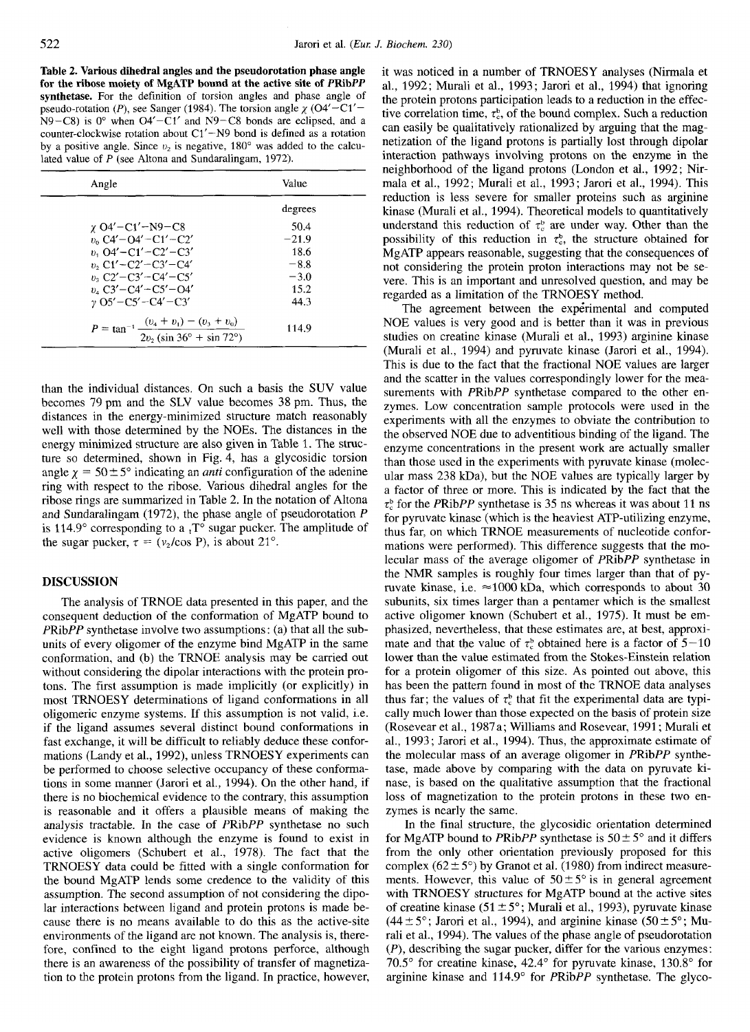**Table 2. Various dihedral angles and the pseudorotation phase angle for the ribose moiety of MgATP bound at the active site of PRibPP synthetase.** For the definition of torsion angles and phase angle of pseudo-rotation (P), see Sanger (1984). The torsion angle  $\chi$  (O4'-C1'- $N9-C8$ ) is 0° when  $O4' - C1'$  and  $N9-C8$  bonds are eclipsed, and a counter-clockwise rotation about  $C1' - N9$  bond is defined as a rotation by a positive angle. Since  $v_2$  is negative, 180 $\degree$  was added to the calculated value of *P* (see Altona and Sundaralingam, 1972).

| Angle                                                                                  | Value   |  |
|----------------------------------------------------------------------------------------|---------|--|
|                                                                                        | degrees |  |
| $\gamma$ O4'–C1'–N9–C8                                                                 | 50.4    |  |
| $v_0$ C4' - O4' - C1' - C2'                                                            | $-21.9$ |  |
| $n_{1}$ , O4' – C1' – C2' – C3'                                                        | 18.6    |  |
| $v_2$ , C1' – C2' – C3' – C4'                                                          | $-8.8$  |  |
| $v_2$ C2'-C3'-C4'-C5'                                                                  | $-3.0$  |  |
| $v_4$ C3' – C4' – C5' – O4'                                                            | 15.2    |  |
| $\nu$ O5' – C5' – C4' – C3'                                                            | 44.3    |  |
| $P = \tan^{-1} \frac{(v_4 + v_1) - (v_3 + v_0)}{2v_2 (\sin 36^\circ + \sin 72^\circ)}$ | 114.9   |  |

than the individual distances. On such a basis the SUV value becomes 79 pm and the SLV value becomes 38 pm. Thus, the distances in the energy-minimized structure match reasonably well with those determined by the NOES. The distances in the energy minimized structure are also given in Table 1. The structure so determined, shown in Fig. 4, has a glycosidic torsion angle  $\chi = 50 \pm 5^\circ$  indicating an *anti* configuration of the adenine ring with respect to the ribose. Various dihedral angles for the ribose rings are summarized in Table 2. In the notation of Altona and Sundaralingam (1972), the phase angle of pseudorotation P is 114.9 $\degree$  corresponding to a  $\ _{1}T\degree$  sugar pucker. The amplitude of the sugar pucker,  $\tau = (v_2/\cos P)$ , is about 21°.

#### **DISCUSSION**

The analysis of TRNOE data presented in this paper, and the consequent deduction of the conformation of MgATP bound to PRibPP synthetase involve two assumptions: (a) that all the subunits of every oligomer of the enzyme bind MgATP in the same conformation, and (b) the TRNOE analysis may be carried out without considering the dipolar interactions with the protein protons. The first assumption is made implicitly (or explicitly) in most TRNOESY determinations of ligand conformations in all oligomeric enzyme systems. If this assumption is not valid, i.e. if the ligand assumes several distinct bound conformations in fast exchange, it will be difficult to reliably deduce these conformations (Landy et al., 1992), unless TRNOESY experiments can be performed to choose selective occupancy of these conformations in some manner (Jarori et al., 1994). On the other hand, if there is no biochemical evidence to the contrary, this assumption is reasonable and it offers a plausible means of making the analysis tractable. In the case of PRibPP synthetase no such evidence is known although the enzyme is found to exist in active oligomers (Schubert et al., 1978). The fact that the TRNOESY data could be fitted with a single conformation for the bound MgATP lends some credence to the validity of this assumption. The second assumption of not considering the dipolar interactions between ligand and protein protons is made because there is no means available to do this as the active-site environments of the ligand are not known. The analysis is, therefore, confined to the eight ligand protons perforce, although there is an awareness of the possibility of transfer of magnetization to the protein protons from the ligand. In practice, however, it was noticed in a number of TRNOESY analyses (Nirmala et al., 1992; Murali et al., 1993; Jarori et al., 1994) that ignoring the protein protons participation leads to a reduction in the effective correlation time,  $\tau_c^b$ , of the bound complex. Such a reduction can easily be qualitatively rationalized by arguing that the magnetization of the ligand protons is partially lost through dipolar interaction pathways involving protons on the enzyme in the neighborhood of the ligand protons (London et al., 1992; Nirmala et al., 1992; Murali et al., 1993; Jarori et al., 1994). This reduction is less severe for smaller proteins such as arginine kinase (Murali et **al.,** 1994). Theoretical models to quantitatively understand this reduction of  $\tau_c^b$  are under way. Other than the possibility of this reduction in  $\tau_c^b$ , the structure obtained for MgATP appears reasonable, suggesting that the consequences of not considering the protein proton interactions may not be severe. This is an important and unresolved question, and may be regarded as a limitation of the TRNOESY method.

The agreement between the experimental and computed NOE values is very good and is better than it was in previous studies on creatine kinase (Murali et al., 1993) arginine kinase (Murali et al., 1994) and pyruvate kinase (Jarori et al., 1994). This is due to the fact that the fractional NOE values are larger and the scatter in the values correspondingly lower for the measurements with PRibPP synthetase compared to the other enzymes. Low concentration sample protocols were used in the experiments with all the enzymes to obviate the contribution to the observed NOE due to adventitious binding of the ligand. The enzyme concentrations in the present work are actually smaller than those used in the experiments with pyruvate kinase (molecular mass  $238$  kDa), but the NOE values are typically larger by a factor of three or more. This is indicated by the fact that the  $\tau_c^b$  for the *PRibPP* synthetase is 35 ns whereas it was about 11 ns for pyruvate kinase (which is the heaviest ATP-utilizing enzyme, thus far, on which TRNOE measurements of nucleotide conformations were performed). This difference suggests that the molecular mass of the average oligomer of PRibPP synthetase in the NMR samples is roughly four times larger than that of pyruvate kinase, i.e.  $\approx$ 1000 kDa, which corresponds to about 30 subunits, six times larger than a pentamer which is the smallest active oligomer known (Schubert et al., 1975). It must be emphasized, nevertheless, that these estimates are, at best, approximate and that the value of  $\tau_c^b$  obtained here is a factor of  $5-10$ lower than the value estimated from the Stokes-Einstein relation for a protein oligomer of this size. As pointed out above, this has been the pattern found in most of the TRNOE data analyses thus far; the values of  $\tau_c^b$  that fit the experimental data are typically much lower than those expected on the basis of protein size (Rosevear et al., 1987a; Williams and Rosevear, 1991 ; Murali et al., 1993; Jarori et al., 1994). Thus, the approximate estimate of the molecular mass of an average oligomer in PRibPP synthetase, made above by comparing with the data on pyruvate kinase, is based on the qualitative assumption that the fractional loss of magnetization to the protein protons in these two enzymes is nearly the same.

In the final structure, the glycosidic orientation determined for MgATP bound to PRibPP synthetase is  $50 \pm 5^{\circ}$  and it differs from the only other orientation previously proposed for this complex  $(62 \pm 5^{\circ})$  by Granot et al. (1980) from indirect measurements. However, this value of  $50 \pm 5^{\circ}$  is in general agreement with TRNOESY structures for MgATP bound at the active sites of creatine kinase **(51** +- *5";* Murali et al., 1993), pyruvate kinase  $(44 \pm 5^{\circ})$ ; Jarori et al., 1994), and arginine kinase  $(50 \pm 5^{\circ})$ ; Murali et al., 1994). The values of the phase angle of pseudorotation *(P),* describing the sugar pucker, differ for the various enzymes: *70.5"* for creatine kinase, 42.4" for pyruvate kinase, 130.8" for arginine kinase and 114.9' for PRibPP synthetase. The glyco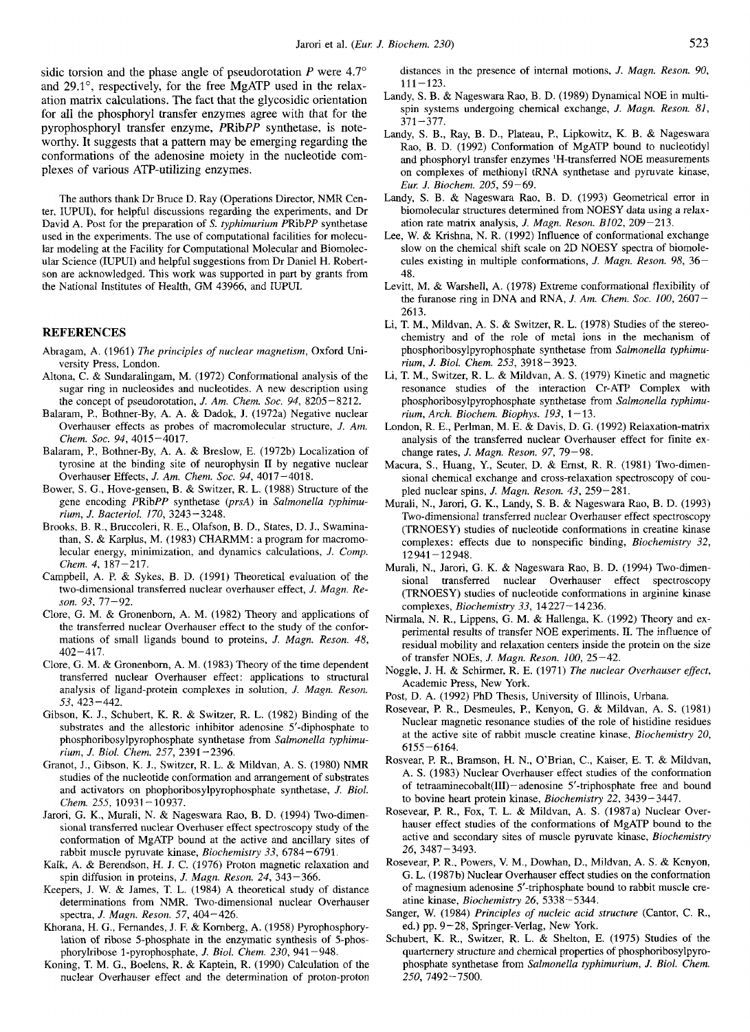sidic torsion and the phase angle of pseudorotation  $P$  were  $4.7^{\circ}$ and 29.1°, respectively, for the free MgATP used in the relaxation matrix calculations. The fact that the glycosidic orientation for all the phosphoryl transfer enzymes agree with that for the pyrophosphoryl transfer enzyme, PRibPP synthetase, is noteworthy. It suggests that a pattern may be emerging regarding the conformations of the adenosine moiety in the nucleotide complexes of various ATP-utilizing enzymes.

The authors thank Dr Bruce D. Ray (Operations Director, NMR Center, IUPUI), for helpful discussions regarding the experiments, and Dr David A. Post for the preparation of *S. fyphimurium* PRibPP synthetase used in the experiments. The use of computational facilities for molecular modeling at the Facility for Computational Molecular and Biomolecular Science (IUPUI) and helpful suggestions from Dr Daniel H. Robertson are acknowledged. This work was supported in part by grants from the National Institutes of Health, GM 43966, and WPUI.

#### **REFERENCES**

- Abragam, **A.** (1961) *The principles* of *nuclear magnetism,* Oxford University Press, London.
- Altona, C. & Sundaralingam, M. (1972) Conformational analysis of the sugar ring in nucleosides and nucleotides. A new description using the concept of pseudorotation, *J. Am. Chem. Soc.* 94, 8205-8212.
- Balaram, P., Bothner-By, A. A. & Dadok, J. (1972a) Negative nuclear Overhauser effects as probes of macromolecular structure, *J. Am. Chem. SOC. 94,* 4015-4017.
- Balaram, P., Bothner-By, A. A. & Breslow, E. (1972b) Localization of tyrosine at the binding site of neurophysin **I1** by negative nuclear Overhauser Effects, *J. Am. Chem. SOC.* 94, 4017-4018.
- Bower, *S.* G., Hove-gensen, B. & Switzer, R. L. (1988) Structure of the gene encoding PRibPP synthetase *(prsA)* in *Salmonella fyphimurium, J. Bacteriol.* 170, 3243-3248.
- Brooks, B. R., Bruccoleri, R. E., Olafson, B. D., States, D. J., Swaminathan, **S.** & Karplus, M. (1983) CHARMM: a program for macromolecular energy, minimization, and dynamics calculations, *J. Comp. Chem. 4,* 187-217.
- Campbell, A. P. & Sykes, B. D. (1991) Theoretical evaluation of the two-dimensional transferred nuclear overhauser effect, *J. Magn. Reson.* 93, 77-92.
- Clore, G. M. & Gronenbom, A. M. (1982) Theory and applications of the transferred nuclear Overhauser effect to the study of the conformations of small ligands bound to proteins, *J. Magn. Reson. 48,*  <sup>402</sup>- 417.
- Clore, G. M. & Gronenborn, A. M. (1983) Theory of the time dependent transferred nuclear Overhauser effect: applications to structural analysis of ligand-protein complexes in solution, *J. Magn. Reson.*  53, 423 -442.
- Gibson, K. J., Schubert, K. R. & Switzer, R. L. (1982) Binding of the substrates and the allestoric inhibitor adenosine 5'-diphosphate to phosphoribosylpyrophosphate synthetase from *Salmonella typhimurium, J. Biol. Chem.* 257, 2391 -2396.
- Granot, J., Gibson, K. J., Switzer, R. L. & Mildvan, A. **S.** (1980) NMR studies of the nucleotide conformation and arrangement of substrates and activators on phophoribosylpyrophosphate synthetase, *J. Biol. Chem.* 255, 10931-10937.
- Jarori, G. K., Murali, N. & Nageswara Rao, B. D. (1994) Two-dimensional transferred nuclear Overhuser effect spectroscopy study of the conformation of MgATP bound at the active and ancillary sites of rabbit muscle pyruvate kinase, *Biochemistry* 33, 6784-6791.
- Kalk, A. & Berendson, H. J. C. (1976) Proton magnetic relaxation and spin diffusion in proteins, *J. Magn. Reson.* 24, 343-366.
- Keepers, **J.** W. & James, T. L. (1984) A theoretical study of distance determinations from NMR. Two-dimensional nuclear Overhauser spectra, *J. Magn. Reson.* 57, 404-426.
- Khorana, H. G., Fernandes, J. F. & Kornberg, A. (1958) Pyrophosphorylation of ribose 5-phosphate in the enzymatic synthesis of 5-phosphorylribose 1-pyrophosphate, *J. Biol. Chem.* 230, 941-948.
- Koning, T. M. G., Boelens, R. & Kaptein, R. (1990) Calculation of the nuclear Overhauser effect and the determination of proton-proton

distances in the presence of internal motions, *J. Magn. Reson.* 90,  $111 - 123$ .

- Landy, **S.** B. & Nageswara Rao, B. D. (1989) Dynamical NOE in multispin systems undergoing chemical exchange, *J. Magn. Reson. 81,*   $371 - 377$ .
- Landy, **S.** B., Ray, B. D., Plateau, P., Lipkowitz, K. B. & Nageswara Rao, B. D. (1992) Conformation of MgATP bound to nucleotidyl and phosphoryl transfer enzymes 'H-transferred NOE measurements on complexes of methionyl tRNA synthetase and pyruvate knase, *Eur: J. Biochem.* 205, 59-69.
- Landy, **S.** B. & Nageswara Rao, B. D. (1993) Geometrical error in biomolecular structures detemined from NOESY data using a relaxation rate matrix analysis, *J. Magn. Reson. B102,* 209-213.
- Lee, W. & Krishna, N. R. (1992) Influence of conformational exchange slow on the chemical shift scale on 2D NOESY spectra of biomolecules existing in multiple conformations, *J. Magn. Reson.* 98, 36- 48.
- Levitt, M. & Warshell, **A.** (1978) Extreme conformational flexibility of the furanose ring in DNA and RNA, *J. Am. Chem. SOC. 100,* 2607- 2613.
- Li, T. **M.,** Mildvan, A. *S.* & Switzer, R. L. (1978) Studies of the stereochemistry and of the role of metal ions in the mechanism of phosphorihosylpyrophosphate synthetase from *Salmonella typhimurium, J. Biol. Chem.* 253, 3918-3923.
- Li, T. M., Switzer, R. L. & Mildvan, A. **S.** (1979) Kinetic and magnetic resonance studies of the interaction Cr-ATP Complex with phosphoribosylpyrophosphate synthetase from *Salmonella typhimurium, Arch. Biochem. Biophys.* 193, 1-13.
- London, R. E., Perlman, M. E. & Davis, D. *G.* (1992) Relaxation-matrix analysis of the transferred nuclear Overhauser effect for finite exchange rates, *J. Magn. Reson.* 97, 79-98.
- Macura, **S.,** Huang, Y., Seuter, D. & Ernst, R. R. (1981) Two-dimensional chemical exchange and cross-relaxation spectroscopy of coupled nuclear spins, *J. Magn. Reson.* 43, 259-281.
- Murali, N., Jarori, G. K., Landy, **S.** B. & Nageswara Rao, B. D. (1993) Two-dimensional transferred nuclear Overhauser effect spectroscopy (TRNOESY) studies of nucleotide conformations in creatine kinase complexes : effects due to nonspecific binding, *Biochemistry* 32, 12941-12948.
- Murali, N., Jarori, *G.* K. & Nageswara Rao, B. D. (1994) Two-dimensional transferred nuclear Overhauser effect spectroscopy (TRNOESY) studies of nucleotide conformations in arginine kinase complexes, *Biochemistry* 33, 14227-14236.
- Nirmala, N. R., Lippens, *G.* M. & Hallenga, K. (1992) Theory and experimental results of transfer NOE experiments. 11. The influence of residual mobility and relaxation centers inside the protein on the size of transfer NOES, *J. Map. Reson. 100,* 25-42.
- Noggle, J. H. & Schirmer, R. E. (1971) *The nuclear Overhauser effect,*  Academic Press, New York.
- Post, D. A. (1992) PhD Thesis, University of Illinois, Urbana.
- Rosevear, P. R., Desmeules, **P.,** Kenyon, G. & Mildvan, A. **S.** (1981) Nuclear magnetic resonance studies of the role of histidine residues at the active site of rabbit muscle creatine kinase, *Biochemistry* 20, 6155-6164.
- Rosvear, P. R., Bramson, H. N., O'Brian, C., Kaiser, E. T. & Mildvan, A. **S.** (1983) Nuclear Overhauser effect studies of the conformation of tetraaminecobalt(II1)- adenosine 5'-triphosphate free and bound to bovine heart protein kinase, *Biochemistry* 22, 3439-3447.
- Rosevear, **P.** R., Fox, T. L. & Mildvan, **A. S.** (1987a) Nuclear Overhauser effect studies of the conformations of MgATP bound to the active and secondary sites of muscle pyruvate kinase, *Biochemistry*  26, 3487-3493.
- Rosevear, P. R., Powers, V. M., Dowhan, D., Mildvan, A. **S.** & Kenyon, G. L. (1987 b) Nuclear Overhauser effect studies on the conformation of magnesium adenosine 5'-triphosphate bound to rabbit muscle creatine kinase, *Biochemistry* 26, 5338-5344.
- Sanger, W. (1984) *Principles* of *nucleic acid structure* (Cantor, C. R., ed.) pp. 9-28, Springer-Verlag, New York.
- Schubert, K. R., Switzer, R. L. & Shelton, E. (1975) Studies of the quartemery structure and chemical properties of phosphoribosylpyrophosphate synthetase from *Salmonella typhimuriurn, J. Biol. Chem.*  250,7492-7500.